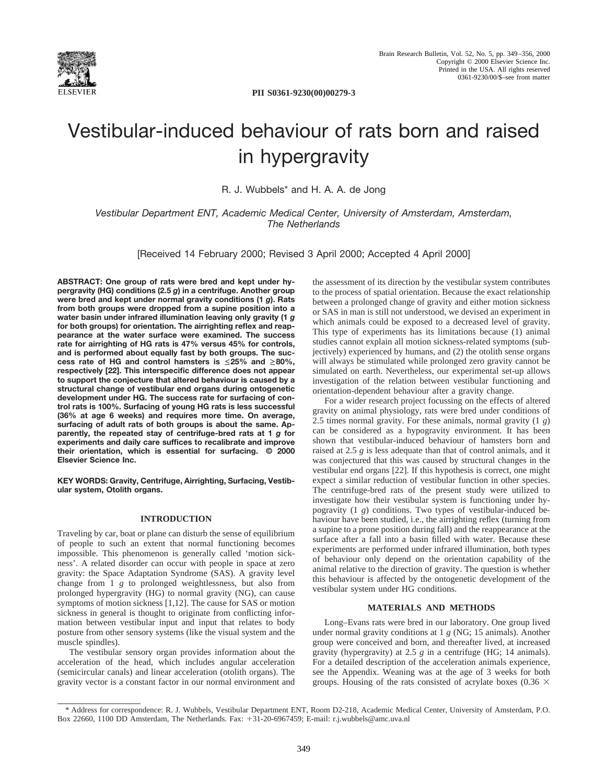

**PII S0361-9230(00)00279-3**

# Vestibular-induced behaviour of rats born and raised in hypergravity

R. J. Wubbels\* and H. A. A. de Jong

*Vestibular Department ENT, Academic Medical Center, University of Amsterdam, Amsterdam, The Netherlands*

[Received 14 February 2000; Revised 3 April 2000; Accepted 4 April 2000]

**ABSTRACT: One group of rats were bred and kept under hypergravity (HG) conditions (2.5** *g***) in a centrifuge. Another group were bred and kept under normal gravity conditions (1** *g***). Rats from both groups were dropped from a supine position into a water basin under infrared illumination leaving only gravity (1** *g* **for both groups) for orientation. The airrighting reflex and reappearance at the water surface were examined. The success rate for airrighting of HG rats is 47% versus 45% for controls, and is performed about equally fast by both groups. The success rate of HG and control hamsters is** ≤**25% and** ≥**80%, respectively [22]. This interspecific difference does not appear to support the conjecture that altered behaviour is caused by a structural change of vestibular end organs during ontogenetic development under HG. The success rate for surfacing of control rats is 100%. Surfacing of young HG rats is less successful (36% at age 6 weeks) and requires more time. On average, surfacing of adult rats of both groups is about the same. Apparently, the repeated stay of centrifuge-bred rats at 1** *g* **for experiments and daily care suffices to recalibrate and improve their orientation, which is essential for surfacing. © 2000 Elsevier Science Inc.**

**KEY WORDS: Gravity, Centrifuge, Airrighting, Surfacing, Vestibular system, Otolith organs.**

## **INTRODUCTION**

Traveling by car, boat or plane can disturb the sense of equilibrium of people to such an extent that normal functioning becomes impossible. This phenomenon is generally called 'motion sickness'. A related disorder can occur with people in space at zero gravity: the Space Adaptation Syndrome (SAS). A gravity level change from 1 *g* to prolonged weightlessness, but also from prolonged hypergravity (HG) to normal gravity (NG), can cause symptoms of motion sickness [1,12]. The cause for SAS or motion sickness in general is thought to originate from conflicting information between vestibular input and input that relates to body posture from other sensory systems (like the visual system and the muscle spindles).

The vestibular sensory organ provides information about the acceleration of the head, which includes angular acceleration (semicircular canals) and linear acceleration (otolith organs). The gravity vector is a constant factor in our normal environment and

the assessment of its direction by the vestibular system contributes to the process of spatial orientation. Because the exact relationship between a prolonged change of gravity and either motion sickness or SAS in man is still not understood, we devised an experiment in which animals could be exposed to a decreased level of gravity. This type of experiments has its limitations because (1) animal studies cannot explain all motion sickness-related symptoms (subjectively) experienced by humans, and (2) the otolith sense organs will always be stimulated while prolonged zero gravity cannot be simulated on earth. Nevertheless, our experimental set-up allows investigation of the relation between vestibular functioning and orientation-dependent behaviour after a gravity change.

For a wider research project focussing on the effects of altered gravity on animal physiology, rats were bred under conditions of 2.5 times normal gravity. For these animals, normal gravity (1 *g*) can be considered as a hypogravity environment. It has been shown that vestibular-induced behaviour of hamsters born and raised at 2.5 *g* is less adequate than that of control animals, and it was conjectured that this was caused by structural changes in the vestibular end organs [22]. If this hypothesis is correct, one might expect a similar reduction of vestibular function in other species. The centrifuge-bred rats of the present study were utilized to investigate how their vestibular system is functioning under hypogravity (1 *g*) conditions. Two types of vestibular-induced behaviour have been studied, i.e., the airrighting reflex (turning from a supine to a prone position during fall) and the reappearance at the surface after a fall into a basin filled with water. Because these experiments are performed under infrared illumination, both types of behaviour only depend on the orientation capability of the animal relative to the direction of gravity. The question is whether this behaviour is affected by the ontogenetic development of the vestibular system under HG conditions.

## **MATERIALS AND METHODS**

Long–Evans rats were bred in our laboratory. One group lived under normal gravity conditions at 1 *g* (NG; 15 animals). Another group were conceived and born, and thereafter lived, at increased gravity (hypergravity) at 2.5 *g* in a centrifuge (HG; 14 animals). For a detailed description of the acceleration animals experience, see the Appendix. Weaning was at the age of 3 weeks for both groups. Housing of the rats consisted of acrylate boxes (0.36  $\times$ 

<sup>\*</sup> Address for correspondence: R. J. Wubbels, Vestibular Department ENT, Room D2-218, Academic Medical Center, University of Amsterdam, P.O. Box 22660, 1100 DD Amsterdam, The Netherlands. Fax: 131-20-6967459; E-mail: r.j.wubbels@amc.uva.nl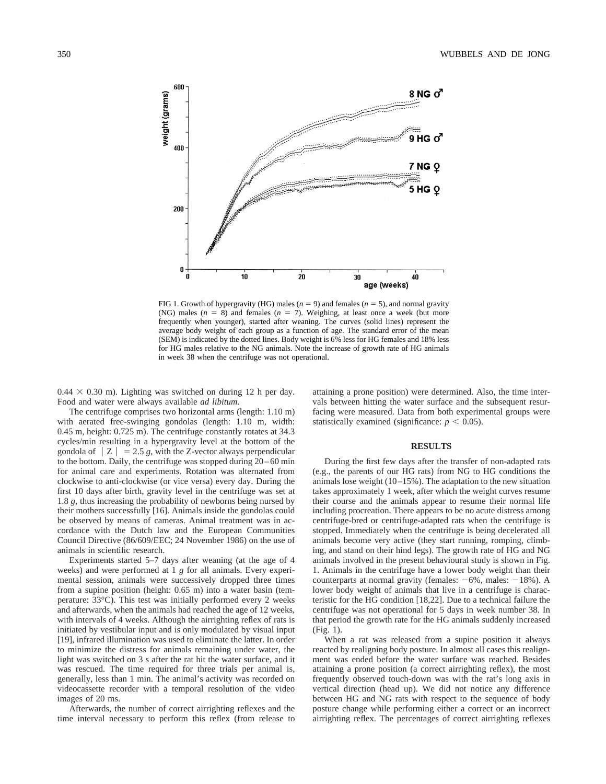

FIG 1. Growth of hypergravity (HG) males ( $n = 9$ ) and females ( $n = 5$ ), and normal gravity (NG) males  $(n = 8)$  and females  $(n = 7)$ . Weighing, at least once a week (but more frequently when younger), started after weaning. The curves (solid lines) represent the average body weight of each group as a function of age. The standard error of the mean (SEM) is indicated by the dotted lines. Body weight is 6% less for HG females and 18% less for HG males relative to the NG animals. Note the increase of growth rate of HG animals in week 38 when the centrifuge was not operational.

 $0.44 \times 0.30$  m). Lighting was switched on during 12 h per day. Food and water were always available *ad libitum*.

The centrifuge comprises two horizontal arms (length: 1.10 m) with aerated free-swinging gondolas (length: 1.10 m, width: 0.45 m, height: 0.725 m). The centrifuge constantly rotates at 34.3 cycles/min resulting in a hypergravity level at the bottom of the gondola of  $|Z| = 2.5$  g, with the Z-vector always perpendicular to the bottom. Daily, the centrifuge was stopped during 20–60 min for animal care and experiments. Rotation was alternated from clockwise to anti-clockwise (or vice versa) every day. During the first 10 days after birth, gravity level in the centrifuge was set at 1.8 *g*, thus increasing the probability of newborns being nursed by their mothers successfully [16]. Animals inside the gondolas could be observed by means of cameras. Animal treatment was in accordance with the Dutch law and the European Communities Council Directive (86/609/EEC; 24 November 1986) on the use of animals in scientific research.

Experiments started 5–7 days after weaning (at the age of 4 weeks) and were performed at 1 *g* for all animals. Every experimental session, animals were successively dropped three times from a supine position (height: 0.65 m) into a water basin (temperature: 33°C). This test was initially performed every 2 weeks and afterwards, when the animals had reached the age of 12 weeks, with intervals of 4 weeks. Although the airrighting reflex of rats is initiated by vestibular input and is only modulated by visual input [19], infrared illumination was used to eliminate the latter. In order to minimize the distress for animals remaining under water, the light was switched on 3 s after the rat hit the water surface, and it was rescued. The time required for three trials per animal is, generally, less than 1 min. The animal's activity was recorded on videocassette recorder with a temporal resolution of the video images of 20 ms.

Afterwards, the number of correct airrighting reflexes and the time interval necessary to perform this reflex (from release to

attaining a prone position) were determined. Also, the time intervals between hitting the water surface and the subsequent resurfacing were measured. Data from both experimental groups were statistically examined (significance:  $p < 0.05$ ).

### **RESULTS**

During the first few days after the transfer of non-adapted rats (e.g., the parents of our HG rats) from NG to HG conditions the animals lose weight (10–15%). The adaptation to the new situation takes approximately 1 week, after which the weight curves resume their course and the animals appear to resume their normal life including procreation. There appears to be no acute distress among centrifuge-bred or centrifuge-adapted rats when the centrifuge is stopped. Immediately when the centrifuge is being decelerated all animals become very active (they start running, romping, climbing, and stand on their hind legs). The growth rate of HG and NG animals involved in the present behavioural study is shown in Fig. 1. Animals in the centrifuge have a lower body weight than their counterparts at normal gravity (females:  $-6\%$ , males:  $-18\%$ ). A lower body weight of animals that live in a centrifuge is characteristic for the HG condition [18,22]. Due to a technical failure the centrifuge was not operational for 5 days in week number 38. In that period the growth rate for the HG animals suddenly increased (Fig. 1).

When a rat was released from a supine position it always reacted by realigning body posture. In almost all cases this realignment was ended before the water surface was reached. Besides attaining a prone position (a correct airrighting reflex), the most frequently observed touch-down was with the rat's long axis in vertical direction (head up). We did not notice any difference between HG and NG rats with respect to the sequence of body posture change while performing either a correct or an incorrect airrighting reflex. The percentages of correct airrighting reflexes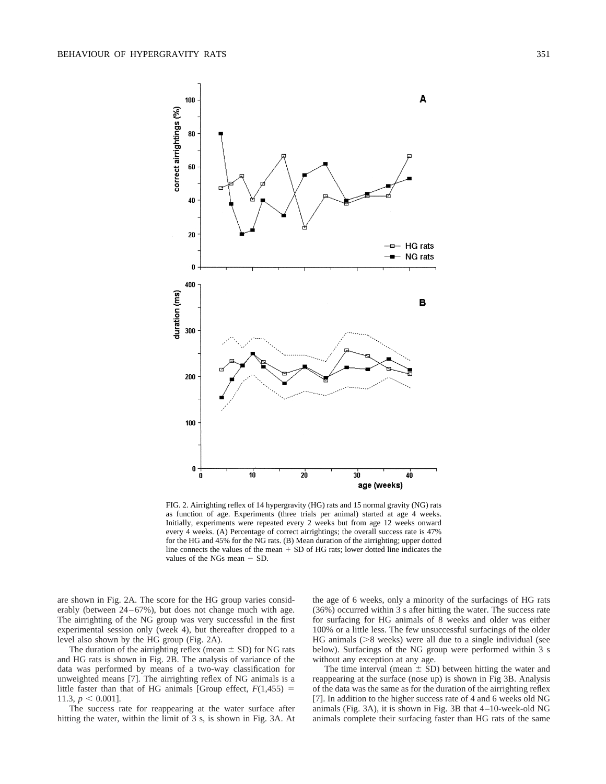

FIG. 2. Airrighting reflex of 14 hypergravity (HG) rats and 15 normal gravity (NG) rats as function of age. Experiments (three trials per animal) started at age 4 weeks. Initially, experiments were repeated every 2 weeks but from age 12 weeks onward every 4 weeks. (A) Percentage of correct airrightings; the overall success rate is 47% for the HG and 45% for the NG rats. (B) Mean duration of the airrighting; upper dotted line connects the values of the mean  $+$  SD of HG rats; lower dotted line indicates the values of the NGs mean  $-$  SD.

are shown in Fig. 2A. The score for the HG group varies considerably (between 24–67%), but does not change much with age. The airrighting of the NG group was very successful in the first experimental session only (week 4), but thereafter dropped to a level also shown by the HG group (Fig. 2A).

The duration of the airrighting reflex (mean  $\pm$  SD) for NG rats and HG rats is shown in Fig. 2B. The analysis of variance of the data was performed by means of a two-way classification for unweighted means [7]. The airrighting reflex of NG animals is a little faster than that of HG animals [Group effect,  $F(1,455) =$ 11.3,  $p < 0.001$ ].

The success rate for reappearing at the water surface after hitting the water, within the limit of 3 s, is shown in Fig. 3A. At

the age of 6 weeks, only a minority of the surfacings of HG rats (36%) occurred within 3 s after hitting the water. The success rate for surfacing for HG animals of 8 weeks and older was either 100% or a little less. The few unsuccessful surfacings of the older  $HG$  animals ( $>8$  weeks) were all due to a single individual (see below). Surfacings of the NG group were performed within 3 s without any exception at any age.

The time interval (mean  $\pm$  SD) between hitting the water and reappearing at the surface (nose up) is shown in Fig 3B. Analysis of the data was the same as for the duration of the airrighting reflex [7]. In addition to the higher success rate of 4 and 6 weeks old NG animals (Fig. 3A), it is shown in Fig. 3B that 4–10-week-old NG animals complete their surfacing faster than HG rats of the same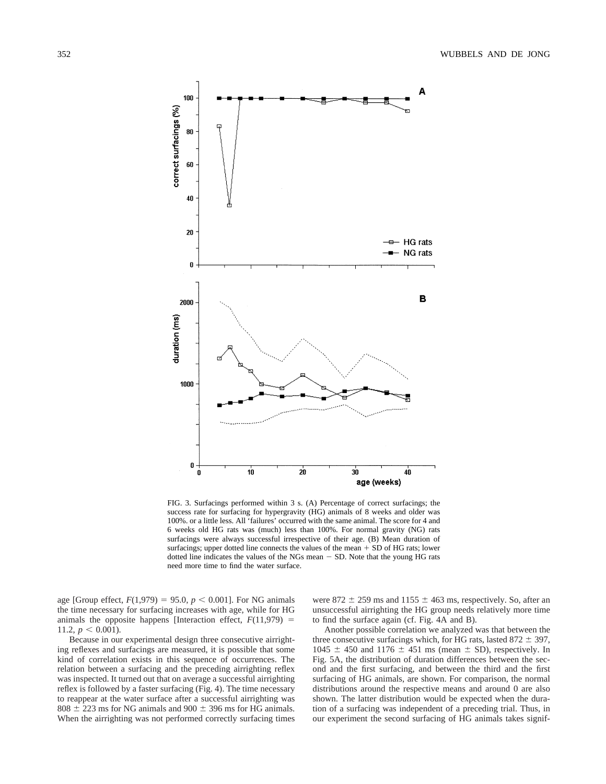

FIG. 3. Surfacings performed within 3 s. (A) Percentage of correct surfacings; the success rate for surfacing for hypergravity (HG) animals of 8 weeks and older was 100%. or a little less. All 'failures' occurred with the same animal. The score for 4 and 6 weeks old HG rats was (much) less than 100%. For normal gravity (NG) rats surfacings were always successful irrespective of their age. (B) Mean duration of surfacings; upper dotted line connects the values of the mean  $+$  SD of HG rats; lower dotted line indicates the values of the NGs mean  $-$  SD. Note that the young HG rats need more time to find the water surface.

age [Group effect,  $F(1,979) = 95.0, p < 0.001$ ]. For NG animals the time necessary for surfacing increases with age, while for HG animals the opposite happens [Interaction effect,  $F(11,979) =$ 11.2,  $p < 0.001$ ).

Because in our experimental design three consecutive airrighting reflexes and surfacings are measured, it is possible that some kind of correlation exists in this sequence of occurrences. The relation between a surfacing and the preceding airrighting reflex was inspected. It turned out that on average a successful airrighting reflex is followed by a faster surfacing (Fig. 4). The time necessary to reappear at the water surface after a successful airrighting was  $808 \pm 223$  ms for NG animals and  $900 \pm 396$  ms for HG animals. When the airrighting was not performed correctly surfacing times

were 872  $\pm$  259 ms and 1155  $\pm$  463 ms, respectively. So, after an unsuccessful airrighting the HG group needs relatively more time to find the surface again (cf. Fig. 4A and B).

Another possible correlation we analyzed was that between the three consecutive surfacings which, for HG rats, lasted  $872 \pm 397$ ,  $1045 \pm 450$  and  $1176 \pm 451$  ms (mean  $\pm$  SD), respectively. In Fig. 5A, the distribution of duration differences between the second and the first surfacing, and between the third and the first surfacing of HG animals, are shown. For comparison, the normal distributions around the respective means and around 0 are also shown. The latter distribution would be expected when the duration of a surfacing was independent of a preceding trial. Thus, in our experiment the second surfacing of HG animals takes signif-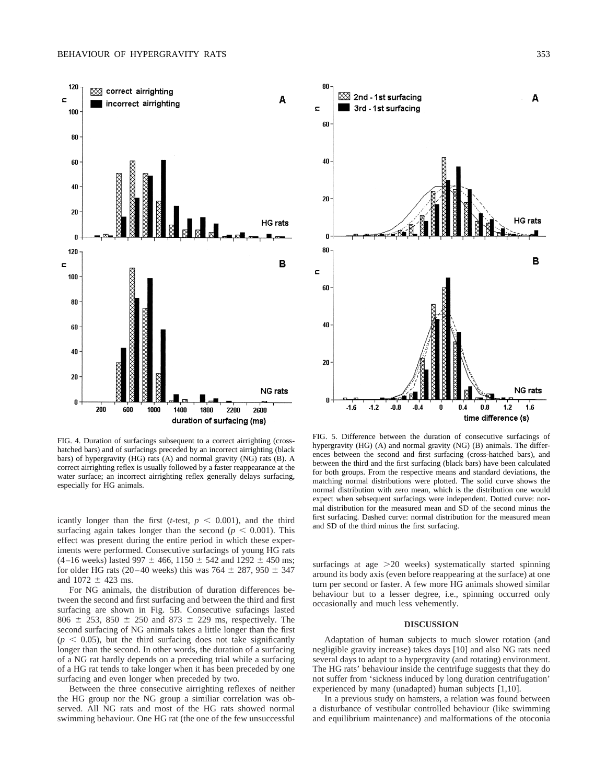

FIG. 4. Duration of surfacings subsequent to a correct airrighting (crosshatched bars) and of surfacings preceded by an incorrect airrighting (black bars) of hypergravity (HG) rats (A) and normal gravity (NG) rats (B). A correct airrighting reflex is usually followed by a faster reappearance at the water surface; an incorrect airrighting reflex generally delays surfacing, especially for HG animals.

icantly longer than the first ( $t$ -test,  $p < 0.001$ ), and the third surfacing again takes longer than the second ( $p < 0.001$ ). This effect was present during the entire period in which these experiments were performed. Consecutive surfacings of young HG rats  $(4–16$  weeks) lasted 997  $\pm$  466, 1150  $\pm$  542 and 1292  $\pm$  450 ms; for older HG rats (20–40 weeks) this was 764  $\pm$  287, 950  $\pm$  347 and  $1072 \pm 423$  ms.

For NG animals, the distribution of duration differences between the second and first surfacing and between the third and first surfacing are shown in Fig. 5B. Consecutive sufacings lasted 806  $\pm$  253, 850  $\pm$  250 and 873  $\pm$  229 ms, respectively. The second surfacing of NG animals takes a little longer than the first  $(p < 0.05)$ , but the third surfacing does not take significantly longer than the second. In other words, the duration of a surfacing of a NG rat hardly depends on a preceding trial while a surfacing of a HG rat tends to take longer when it has been preceded by one surfacing and even longer when preceded by two.

Between the three consecutive airrighting reflexes of neither the HG group nor the NG group a similiar correlation was observed. All NG rats and most of the HG rats showed normal swimming behaviour. One HG rat (the one of the few unsuccessful



FIG. 5. Difference between the duration of consecutive surfacings of hypergravity (HG) (A) and normal gravity (NG) (B) animals. The differences between the second and first surfacing (cross-hatched bars), and between the third and the first surfacing (black bars) have been calculated for both groups. From the respective means and standard deviations, the matching normal distributions were plotted. The solid curve shows the normal distribution with zero mean, which is the distribution one would expect when sebsequent surfacings were independent. Dotted curve: normal distribution for the measured mean and SD of the second minus the first surfacing. Dashed curve: normal distribution for the measured mean and SD of the third minus the first surfacing.

surfacings at age  $>20$  weeks) systematically started spinning around its body axis (even before reappearing at the surface) at one turn per second or faster. A few more HG animals showed similar behaviour but to a lesser degree, i.e., spinning occurred only occasionally and much less vehemently.

## **DISCUSSION**

Adaptation of human subjects to much slower rotation (and negligible gravity increase) takes days [10] and also NG rats need several days to adapt to a hypergravity (and rotating) environment. The HG rats' behaviour inside the centrifuge suggests that they do not suffer from 'sickness induced by long duration centrifugation' experienced by many (unadapted) human subjects [1,10].

In a previous study on hamsters, a relation was found between a disturbance of vestibular controlled behaviour (like swimming and equilibrium maintenance) and malformations of the otoconia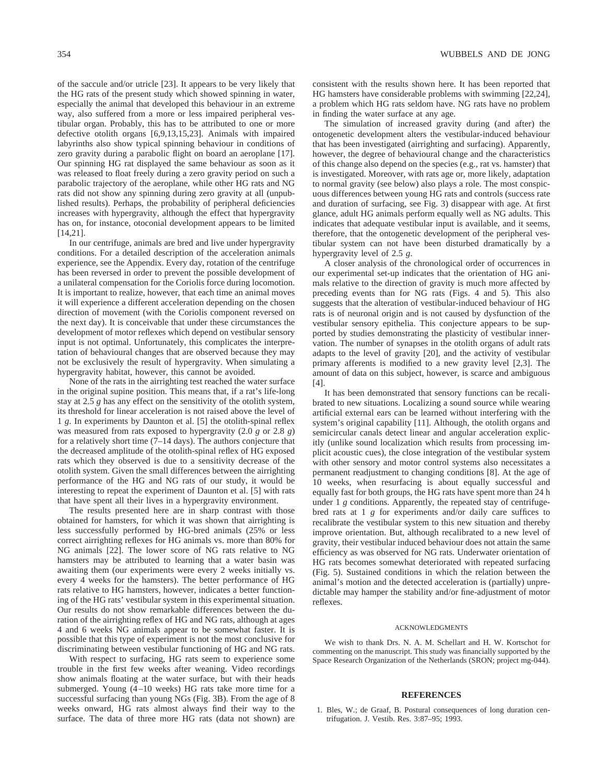of the saccule and/or utricle [23]. It appears to be very likely that the HG rats of the present study which showed spinning in water, especially the animal that developed this behaviour in an extreme way, also suffered from a more or less impaired peripheral vestibular organ. Probably, this has to be attributed to one or more defective otolith organs [6,9,13,15,23]. Animals with impaired labyrinths also show typical spinning behaviour in conditions of zero gravity during a parabolic flight on board an aeroplane [17]. Our spinning HG rat displayed the same behaviour as soon as it was released to float freely during a zero gravity period on such a parabolic trajectory of the aeroplane, while other HG rats and NG rats did not show any spinning during zero gravity at all (unpublished results). Perhaps, the probability of peripheral deficiencies increases with hypergravity, although the effect that hypergravity has on, for instance, otoconial development appears to be limited [14,21].

In our centrifuge, animals are bred and live under hypergravity conditions. For a detailed description of the acceleration animals experience, see the Appendix. Every day, rotation of the centrifuge has been reversed in order to prevent the possible development of a unilateral compensation for the Coriolis force during locomotion. It is important to realize, however, that each time an animal moves it will experience a different acceleration depending on the chosen direction of movement (with the Coriolis component reversed on the next day). It is conceivable that under these circumstances the development of motor reflexes which depend on vestibular sensory input is not optimal. Unfortunately, this complicates the interpretation of behavioural changes that are observed because they may not be exclusively the result of hypergravity. When simulating a hypergravity habitat, however, this cannot be avoided.

None of the rats in the airrighting test reached the water surface in the original supine position. This means that, if a rat's life-long stay at 2.5 *g* has any effect on the sensitivity of the otolith system, its threshold for linear acceleration is not raised above the level of 1 *g*. In experiments by Daunton et al. [5] the otolith-spinal reflex was measured from rats exposed to hypergravity (2.0 *g* or 2.8 *g*) for a relatively short time (7–14 days). The authors conjecture that the decreased amplitude of the otolith-spinal reflex of HG exposed rats which they observed is due to a sensitivity decrease of the otolith system. Given the small differences between the airrighting performance of the HG and NG rats of our study, it would be interesting to repeat the experiment of Daunton et al. [5] with rats that have spent all their lives in a hypergravity environment.

The results presented here are in sharp contrast with those obtained for hamsters, for which it was shown that airrighting is less successfully performed by HG-bred animals (25% or less correct airrighting reflexes for HG animals vs. more than 80% for NG animals [22]. The lower score of NG rats relative to NG hamsters may be attributed to learning that a water basin was awaiting them (our experiments were every 2 weeks initially vs. every 4 weeks for the hamsters). The better performance of HG rats relative to HG hamsters, however, indicates a better functioning of the HG rats' vestibular system in this experimental situation. Our results do not show remarkable differences between the duration of the airrighting reflex of HG and NG rats, although at ages 4 and 6 weeks NG animals appear to be somewhat faster. It is possible that this type of experiment is not the most conclusive for discriminating between vestibular functioning of HG and NG rats.

With respect to surfacing, HG rats seem to experience some trouble in the first few weeks after weaning. Video recordings show animals floating at the water surface, but with their heads submerged. Young (4–10 weeks) HG rats take more time for a successful surfacing than young NGs (Fig. 3B). From the age of 8 weeks onward, HG rats almost always find their way to the surface. The data of three more HG rats (data not shown) are consistent with the results shown here. It has been reported that HG hamsters have considerable problems with swimming [22,24], a problem which HG rats seldom have. NG rats have no problem in finding the water surface at any age.

The simulation of increased gravity during (and after) the ontogenetic development alters the vestibular-induced behaviour that has been investigated (airrighting and surfacing). Apparently, however, the degree of behavioural change and the characteristics of this change also depend on the species (e.g., rat vs. hamster) that is investigated. Moreover, with rats age or, more likely, adaptation to normal gravity (see below) also plays a role. The most conspicuous differences between young HG rats and controls (success rate and duration of surfacing, see Fig. 3) disappear with age. At first glance, adult HG animals perform equally well as NG adults. This indicates that adequate vestibular input is available, and it seems, therefore, that the ontogenetic development of the peripheral vestibular system can not have been disturbed dramatically by a hypergravity level of 2.5 *g*.

A closer analysis of the chronological order of occurrences in our experimental set-up indicates that the orientation of HG animals relative to the direction of gravity is much more affected by preceding events than for NG rats (Figs. 4 and 5). This also suggests that the alteration of vestibular-induced behaviour of HG rats is of neuronal origin and is not caused by dysfunction of the vestibular sensory epithelia. This conjecture appears to be supported by studies demonstrating the plasticity of vestibular innervation. The number of synapses in the otolith organs of adult rats adapts to the level of gravity [20], and the activity of vestibular primary afferents is modified to a new gravity level [2,3]. The amount of data on this subject, however, is scarce and ambiguous [4].

It has been demonstrated that sensory functions can be recalibrated to new situations. Localizing a sound source while wearing artificial external ears can be learned without interfering with the system's original capability [11]. Although, the otolith organs and semicircular canals detect linear and angular acceleration explicitly (unlike sound localization which results from processing implicit acoustic cues), the close integration of the vestibular system with other sensory and motor control systems also necessitates a permanent readjustment to changing conditions [8]. At the age of 10 weeks, when resurfacing is about equally successful and equally fast for both groups, the HG rats have spent more than 24 h under 1 *g* conditions. Apparently, the repeated stay of centrifugebred rats at 1 *g* for experiments and/or daily care suffices to recalibrate the vestibular system to this new situation and thereby improve orientation. But, although recalibrated to a new level of gravity, their vestibular induced behaviour does not attain the same efficiency as was observed for NG rats. Underwater orientation of HG rats becomes somewhat deteriorated with repeated surfacing (Fig. 5). Sustained conditions in which the relation between the animal's motion and the detected acceleration is (partially) unpredictable may hamper the stability and/or fine-adjustment of motor reflexes.

#### ACKNOWLEDGMENTS

We wish to thank Drs. N. A. M. Schellart and H. W. Kortschot for commenting on the manuscript. This study was financially supported by the Space Research Organization of the Netherlands (SRON; project mg-044).

#### **REFERENCES**

1. Bles, W.; de Graaf, B. Postural consequences of long duration centrifugation. J. Vestib. Res. 3:87–95; 1993.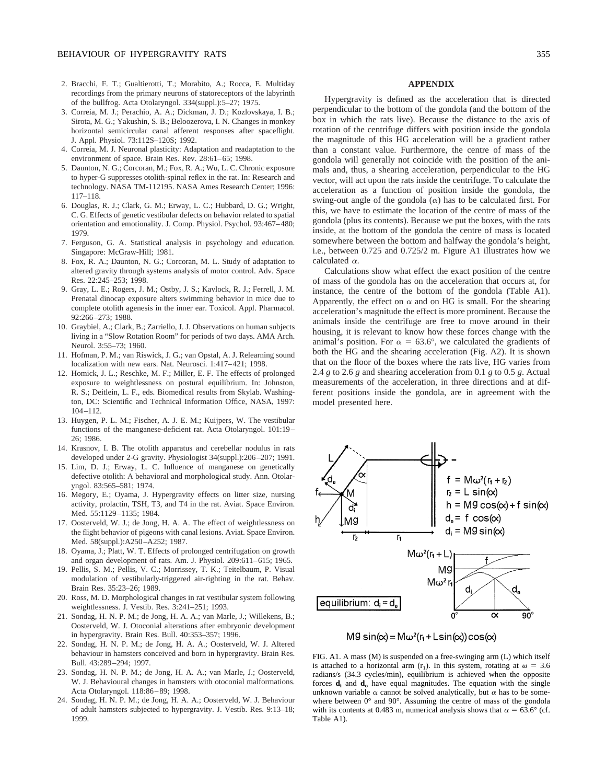- 2. Bracchi, F. T.; Gualtierotti, T.; Morabito, A.; Rocca, E. Multiday recordings from the primary neurons of statoreceptors of the labyrinth of the bullfrog. Acta Otolaryngol. 334(suppl.):5–27; 1975.
- 3. Correia, M. J.; Perachio, A. A.; Dickman, J. D.; Kozlovskaya, I. B.; Sirota, M. G.; Yakushin, S. B.; Beloozerova, I. N. Changes in monkey horizontal semicircular canal afferent responses after spaceflight. J. Appl. Physiol. 73:112S–120S; 1992.
- 4. Correia, M. J. Neuronal plasticity: Adaptation and readaptation to the environment of space. Brain Res. Rev. 28:61–65; 1998.
- 5. Daunton, N. G.; Corcoran, M.; Fox, R. A.; Wu, L. C. Chronic exposure to hyper-G suppresses otolith-spinal reflex in the rat. In: Research and technology. NASA TM-112195. NASA Ames Research Center; 1996: 117–118.
- 6. Douglas, R. J.; Clark, G. M.; Erway, L. C.; Hubbard, D. G.; Wright, C. G. Effects of genetic vestibular defects on behavior related to spatial orientation and emotionality. J. Comp. Physiol. Psychol. 93:467–480; 1979.
- 7. Ferguson, G. A. Statistical analysis in psychology and education. Singapore: McGraw-Hill; 1981.
- 8. Fox, R. A.; Daunton, N. G.; Corcoran, M. L. Study of adaptation to altered gravity through systems analysis of motor control. Adv. Space Res. 22:245–253; 1998.
- 9. Gray, L. E.; Rogers, J. M.; Ostby, J. S.; Kavlock, R. J.; Ferrell, J. M. Prenatal dinocap exposure alters swimming behavior in mice due to complete otolith agenesis in the inner ear. Toxicol. Appl. Pharmacol. 92:266–273; 1988.
- 10. Graybiel, A.; Clark, B.; Zarriello, J. J. Observations on human subjects living in a "Slow Rotation Room" for periods of two days. AMA Arch. Neurol. 3:55–73; 1960.
- 11. Hofman, P. M.; van Riswick, J. G.; van Opstal, A. J. Relearning sound localization with new ears. Nat. Neurosci. 1:417–421; 1998.
- 12. Homick, J. L.; Reschke, M. F.; Miller, E. F. The effects of prolonged exposure to weightlessness on postural equilibrium. In: Johnston, R. S.; Deitlein, L. F., eds. Biomedical results from Skylab. Washington, DC: Scientific and Technical Information Office, NASA, 1997: 104–112.
- 13. Huygen, P. L. M.; Fischer, A. J. E. M.; Kuijpers, W. The vestibular functions of the manganese-deficient rat. Acta Otolaryngol. 101:19– 26; 1986.
- 14. Krasnov, I. B. The otolith apparatus and cerebellar nodulus in rats developed under 2-G gravity. Physiologist 34(suppl.):206–207; 1991.
- 15. Lim, D. J.; Erway, L. C. Influence of manganese on genetically defective otolith: A behavioral and morphological study. Ann. Otolaryngol. 83:565–581; 1974.
- 16. Megory, E.; Oyama, J. Hypergravity effects on litter size, nursing activity, prolactin, TSH, T3, and T4 in the rat. Aviat. Space Environ. Med. 55:1129–1135; 1984.
- 17. Oosterveld, W. J.; de Jong, H. A. A. The effect of weightlessness on the flight behavior of pigeons with canal lesions. Aviat. Space Environ. Med. 58(suppl.):A250–A252; 1987.
- 18. Oyama, J.; Platt, W. T. Effects of prolonged centrifugation on growth and organ development of rats. Am. J. Physiol. 209:611–615; 1965.
- 19. Pellis, S. M.; Pellis, V. C.; Morrissey, T. K.; Teitelbaum, P. Visual modulation of vestibularly-triggered air-righting in the rat. Behav. Brain Res. 35:23–26; 1989.
- 20. Ross, M. D. Morphological changes in rat vestibular system following weightlessness. J. Vestib. Res. 3:241–251; 1993.
- 21. Sondag, H. N. P. M.; de Jong, H. A. A.; van Marle, J.; Willekens, B.; Oosterveld, W. J. Otoconial alterations after embryonic development in hypergravity. Brain Res. Bull. 40:353–357; 1996.
- 22. Sondag, H. N. P. M.; de Jong, H. A. A.; Oosterveld, W. J. Altered behaviour in hamsters conceived and born in hypergravity. Brain Res. Bull. 43:289–294; 1997.
- 23. Sondag, H. N. P. M.; de Jong, H. A. A.; van Marle, J.; Oosterveld, W. J. Behavioural changes in hamsters with otoconial malformations. Acta Otolaryngol. 118:86–89; 1998.
- 24. Sondag, H. N. P. M.; de Jong, H. A. A.; Oosterveld, W. J. Behaviour of adult hamsters subjected to hypergravity. J. Vestib. Res. 9:13–18; 1999.

#### **APPENDIX**

Hypergravity is defined as the acceleration that is directed perpendicular to the bottom of the gondola (and the bottom of the box in which the rats live). Because the distance to the axis of rotation of the centrifuge differs with position inside the gondola the magnitude of this HG acceleration will be a gradient rather than a constant value. Furthermore, the centre of mass of the gondola will generally not coincide with the position of the animals and, thus, a shearing acceleration, perpendicular to the HG vector, will act upon the rats inside the centrifuge. To calculate the acceleration as a function of position inside the gondola, the swing-out angle of the gondola  $(\alpha)$  has to be calculated first. For this, we have to estimate the location of the centre of mass of the gondola (plus its contents). Because we put the boxes, with the rats inside, at the bottom of the gondola the centre of mass is located somewhere between the bottom and halfway the gondola's height, i.e., between 0.725 and 0.725/2 m. Figure A1 illustrates how we calculated  $\alpha$ .

Calculations show what effect the exact position of the centre of mass of the gondola has on the acceleration that occurs at, for instance, the centre of the bottom of the gondola (Table A1). Apparently, the effect on  $\alpha$  and on HG is small. For the shearing acceleration's magnitude the effect is more prominent. Because the animals inside the centrifuge are free to move around in their housing, it is relevant to know how these forces change with the animal's position. For  $\alpha = 63.6^{\circ}$ , we calculated the gradients of both the HG and the shearing acceleration (Fig. A2). It is shown that on the floor of the boxes where the rats live, HG varies from 2.4 *g* to 2.6 *g* and shearing acceleration from 0.1 *g* to 0.5 *g*. Actual measurements of the acceleration, in three directions and at different positions inside the gondola, are in agreement with the model presented here.





FIG. A1. A mass (M) is suspended on a free-swinging arm (L) which itself is attached to a horizontal arm  $(r_1)$ . In this system, rotating at  $\omega = 3.6$ radians/s (34.3 cycles/min), equilibrium is achieved when the opposite forces  $\mathbf{d}_i$  and  $\mathbf{d}_o$  have equal magnitudes. The equation with the single unknown variable  $\alpha$  cannot be solved analytically, but  $\alpha$  has to be somewhere between 0° and 90°. Assuming the centre of mass of the gondola with its contents at 0.483 m, numerical analysis shows that  $\alpha = 63.6^{\circ}$  (cf. Table A1).